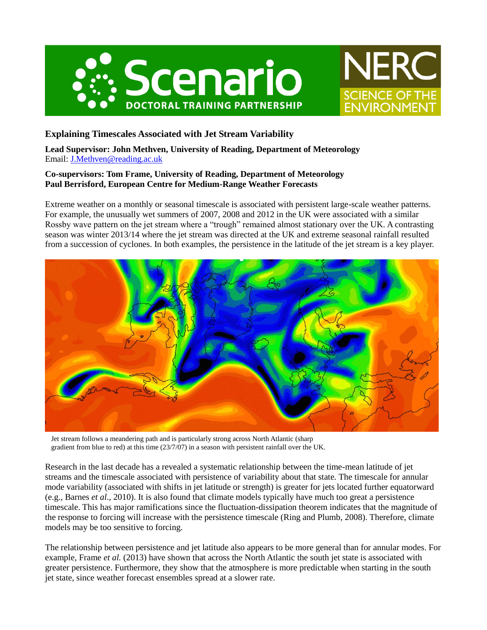



# **Explaining Timescales Associated with Jet Stream Variability**

**Lead Supervisor: John Methven, University of Reading, Department of Meteorology** Email: [J.Methven@reading.ac.uk](mailto:J.Methven@reading.ac.uk)

### **Co-supervisors: Tom Frame, University of Reading, Department of Meteorology Paul Berrisford, European Centre for Medium-Range Weather Forecasts**

Extreme weather on a monthly or seasonal timescale is associated with persistent large-scale weather patterns. For example, the unusually wet summers of 2007, 2008 and 2012 in the UK were associated with a similar Rossby wave pattern on the jet stream where a "trough" remained almost stationary over the UK. A contrasting season was winter 2013/14 where the jet stream was directed at the UK and extreme seasonal rainfall resulted from a succession of cyclones. In both examples, the persistence in the latitude of the jet stream is a key player.



Jet stream follows a meandering path and is particularly strong across North Atlantic (sharp gradient from blue to red) at this time (23/7/07) in a season with persistent rainfall over the UK.

Research in the last decade has a revealed a systematic relationship between the time-mean latitude of jet streams and the timescale associated with persistence of variability about that state. The timescale for annular mode variability (associated with shifts in jet latitude or strength) is greater for jets located further equatorward (e.g., Barnes *et al.,* 2010). It is also found that climate models typically have much too great a persistence timescale. This has major ramifications since the fluctuation-dissipation theorem indicates that the magnitude of the response to forcing will increase with the persistence timescale (Ring and Plumb, 2008). Therefore, climate models may be too sensitive to forcing.

The relationship between persistence and jet latitude also appears to be more general than for annular modes. For example, Frame *et al.* (2013) have shown that across the North Atlantic the south jet state is associated with greater persistence. Furthermore, they show that the atmosphere is more predictable when starting in the south jet state, since weather forecast ensembles spread at a slower rate.